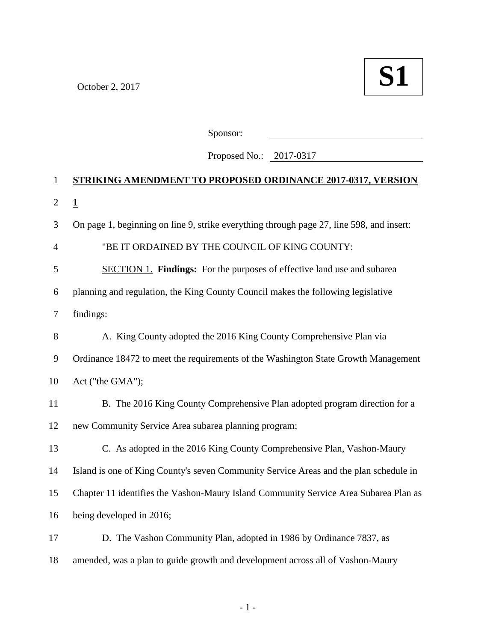

Sponsor:

Proposed No.: 2017-0317

## **STRIKING AMENDMENT TO PROPOSED ORDINANCE 2017-0317, VERSION 1** On page 1, beginning on line 9, strike everything through page 27, line 598, and insert: "BE IT ORDAINED BY THE COUNCIL OF KING COUNTY: SECTION 1. **Findings:** For the purposes of effective land use and subarea planning and regulation, the King County Council makes the following legislative findings: 8 A. King County adopted the 2016 King County Comprehensive Plan via Ordinance 18472 to meet the requirements of the Washington State Growth Management Act ("the GMA"); 11 B. The 2016 King County Comprehensive Plan adopted program direction for a new Community Service Area subarea planning program; C. As adopted in the 2016 King County Comprehensive Plan, Vashon-Maury Island is one of King County's seven Community Service Areas and the plan schedule in Chapter 11 identifies the Vashon-Maury Island Community Service Area Subarea Plan as being developed in 2016; D. The Vashon Community Plan, adopted in 1986 by Ordinance 7837, as amended, was a plan to guide growth and development across all of Vashon-Maury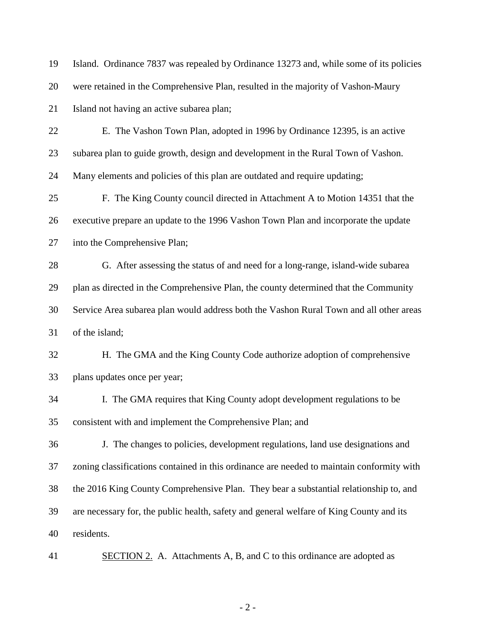were retained in the Comprehensive Plan, resulted in the majority of Vashon-Maury Island not having an active subarea plan; E. The Vashon Town Plan, adopted in 1996 by Ordinance 12395, is an active subarea plan to guide growth, design and development in the Rural Town of Vashon. Many elements and policies of this plan are outdated and require updating; F. The King County council directed in Attachment A to Motion 14351 that the executive prepare an update to the 1996 Vashon Town Plan and incorporate the update into the Comprehensive Plan; G. After assessing the status of and need for a long-range, island-wide subarea plan as directed in the Comprehensive Plan, the county determined that the Community Service Area subarea plan would address both the Vashon Rural Town and all other areas of the island; H. The GMA and the King County Code authorize adoption of comprehensive plans updates once per year; I. The GMA requires that King County adopt development regulations to be consistent with and implement the Comprehensive Plan; and J. The changes to policies, development regulations, land use designations and zoning classifications contained in this ordinance are needed to maintain conformity with the 2016 King County Comprehensive Plan. They bear a substantial relationship to, and are necessary for, the public health, safety and general welfare of King County and its residents. 41 SECTION 2. A. Attachments A, B, and C to this ordinance are adopted as

Island. Ordinance 7837 was repealed by Ordinance 13273 and, while some of its policies

- 2 -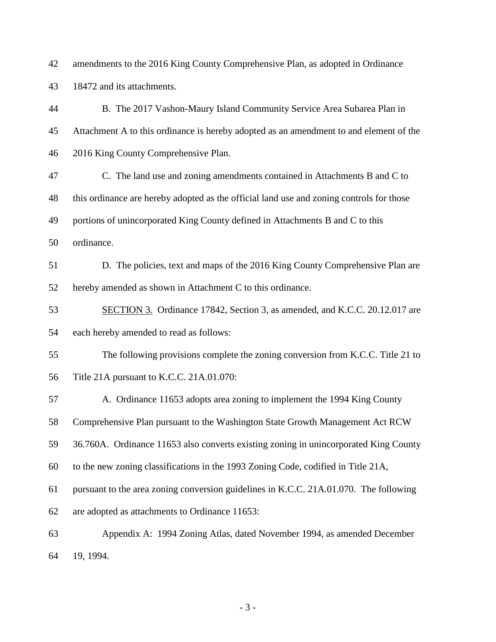amendments to the 2016 King County Comprehensive Plan, as adopted in Ordinance 18472 and its attachments.

 B. The 2017 Vashon-Maury Island Community Service Area Subarea Plan in Attachment A to this ordinance is hereby adopted as an amendment to and element of the 2016 King County Comprehensive Plan. C. The land use and zoning amendments contained in Attachments B and C to this ordinance are hereby adopted as the official land use and zoning controls for those portions of unincorporated King County defined in Attachments B and C to this ordinance. D. The policies, text and maps of the 2016 King County Comprehensive Plan are hereby amended as shown in Attachment C to this ordinance. 53 SECTION 3. Ordinance 17842, Section 3, as amended, and K.C.C. 20.12.017 are each hereby amended to read as follows: The following provisions complete the zoning conversion from K.C.C. Title 21 to Title 21A pursuant to K.C.C. 21A.01.070: A. Ordinance 11653 adopts area zoning to implement the 1994 King County Comprehensive Plan pursuant to the Washington State Growth Management Act RCW 36.760A. Ordinance 11653 also converts existing zoning in unincorporated King County to the new zoning classifications in the 1993 Zoning Code, codified in Title 21A, pursuant to the area zoning conversion guidelines in K.C.C. 21A.01.070. The following are adopted as attachments to Ordinance 11653: Appendix A: 1994 Zoning Atlas, dated November 1994, as amended December 19, 1994.

- 3 -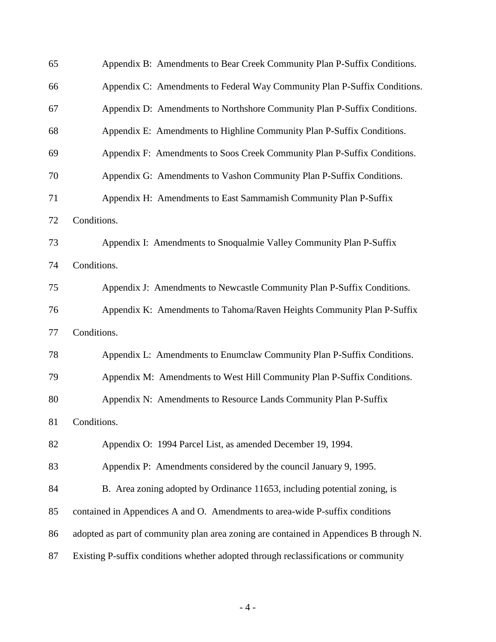| 65 | Appendix B: Amendments to Bear Creek Community Plan P-Suffix Conditions.               |  |  |  |
|----|----------------------------------------------------------------------------------------|--|--|--|
| 66 | Appendix C: Amendments to Federal Way Community Plan P-Suffix Conditions.              |  |  |  |
| 67 | Appendix D: Amendments to Northshore Community Plan P-Suffix Conditions.               |  |  |  |
| 68 | Appendix E: Amendments to Highline Community Plan P-Suffix Conditions.                 |  |  |  |
| 69 | Appendix F: Amendments to Soos Creek Community Plan P-Suffix Conditions.               |  |  |  |
| 70 | Appendix G: Amendments to Vashon Community Plan P-Suffix Conditions.                   |  |  |  |
| 71 | Appendix H: Amendments to East Sammamish Community Plan P-Suffix                       |  |  |  |
| 72 | Conditions.                                                                            |  |  |  |
| 73 | Appendix I: Amendments to Snoqualmie Valley Community Plan P-Suffix                    |  |  |  |
| 74 | Conditions.                                                                            |  |  |  |
| 75 | Appendix J: Amendments to Newcastle Community Plan P-Suffix Conditions.                |  |  |  |
| 76 | Appendix K: Amendments to Tahoma/Raven Heights Community Plan P-Suffix                 |  |  |  |
| 77 | Conditions.                                                                            |  |  |  |
| 78 | Appendix L: Amendments to Enumclaw Community Plan P-Suffix Conditions.                 |  |  |  |
| 79 | Appendix M: Amendments to West Hill Community Plan P-Suffix Conditions.                |  |  |  |
| 80 | Appendix N: Amendments to Resource Lands Community Plan P-Suffix                       |  |  |  |
| 81 | Conditions.                                                                            |  |  |  |
| 82 | Appendix O: 1994 Parcel List, as amended December 19, 1994.                            |  |  |  |
| 83 | Appendix P: Amendments considered by the council January 9, 1995.                      |  |  |  |
| 84 | B. Area zoning adopted by Ordinance 11653, including potential zoning, is              |  |  |  |
| 85 | contained in Appendices A and O. Amendments to area-wide P-suffix conditions           |  |  |  |
| 86 | adopted as part of community plan area zoning are contained in Appendices B through N. |  |  |  |
| 87 | Existing P-suffix conditions whether adopted through reclassifications or community    |  |  |  |

- 4 -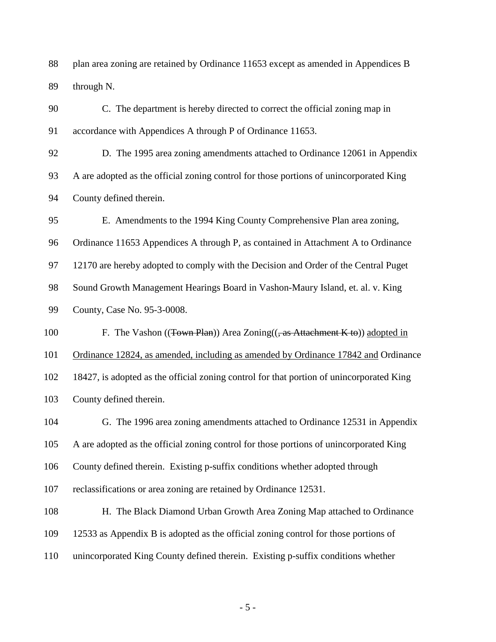plan area zoning are retained by Ordinance 11653 except as amended in Appendices B through N.

 C. The department is hereby directed to correct the official zoning map in accordance with Appendices A through P of Ordinance 11653.

 D. The 1995 area zoning amendments attached to Ordinance 12061 in Appendix A are adopted as the official zoning control for those portions of unincorporated King County defined therein.

 E. Amendments to the 1994 King County Comprehensive Plan area zoning, Ordinance 11653 Appendices A through P, as contained in Attachment A to Ordinance 12170 are hereby adopted to comply with the Decision and Order of the Central Puget Sound Growth Management Hearings Board in Vashon-Maury Island, et. al. v. King County, Case No. 95-3-0008.

100 F. The Vashon ((Town Plan)) Area Zoning((, as Attachment K to)) adopted in

Ordinance 12824, as amended, including as amended by Ordinance 17842 and Ordinance

 18427, is adopted as the official zoning control for that portion of unincorporated King County defined therein.

 G. The 1996 area zoning amendments attached to Ordinance 12531 in Appendix A are adopted as the official zoning control for those portions of unincorporated King County defined therein. Existing p-suffix conditions whether adopted through reclassifications or area zoning are retained by Ordinance 12531.

 H. The Black Diamond Urban Growth Area Zoning Map attached to Ordinance 12533 as Appendix B is adopted as the official zoning control for those portions of unincorporated King County defined therein. Existing p-suffix conditions whether

- 5 -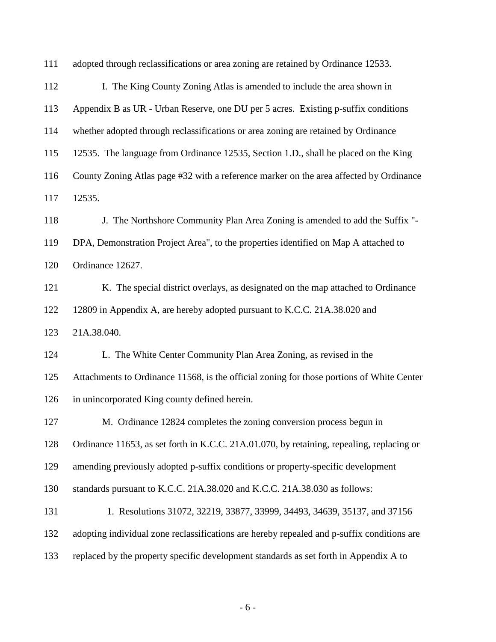| 111 | adopted through reclassifications or area zoning are retained by Ordinance 12533.          |  |  |  |  |
|-----|--------------------------------------------------------------------------------------------|--|--|--|--|
| 112 | I. The King County Zoning Atlas is amended to include the area shown in                    |  |  |  |  |
| 113 | Appendix B as UR - Urban Reserve, one DU per 5 acres. Existing p-suffix conditions         |  |  |  |  |
| 114 | whether adopted through reclassifications or area zoning are retained by Ordinance         |  |  |  |  |
| 115 | 12535. The language from Ordinance 12535, Section 1.D., shall be placed on the King        |  |  |  |  |
| 116 | County Zoning Atlas page #32 with a reference marker on the area affected by Ordinance     |  |  |  |  |
| 117 | 12535.                                                                                     |  |  |  |  |
| 118 | J. The Northshore Community Plan Area Zoning is amended to add the Suffix "-               |  |  |  |  |
| 119 | DPA, Demonstration Project Area", to the properties identified on Map A attached to        |  |  |  |  |
| 120 | Ordinance 12627.                                                                           |  |  |  |  |
| 121 | K. The special district overlays, as designated on the map attached to Ordinance           |  |  |  |  |
| 122 | 12809 in Appendix A, are hereby adopted pursuant to K.C.C. 21A.38.020 and                  |  |  |  |  |
| 123 | 21A.38.040.                                                                                |  |  |  |  |
| 124 | L. The White Center Community Plan Area Zoning, as revised in the                          |  |  |  |  |
| 125 | Attachments to Ordinance 11568, is the official zoning for those portions of White Center  |  |  |  |  |
| 126 | in unincorporated King county defined herein.                                              |  |  |  |  |
| 127 | M. Ordinance 12824 completes the zoning conversion process begun in                        |  |  |  |  |
| 128 | Ordinance 11653, as set forth in K.C.C. 21A.01.070, by retaining, repealing, replacing or  |  |  |  |  |
| 129 | amending previously adopted p-suffix conditions or property-specific development           |  |  |  |  |
| 130 | standards pursuant to K.C.C. 21A.38.020 and K.C.C. 21A.38.030 as follows:                  |  |  |  |  |
| 131 | 1. Resolutions 31072, 32219, 33877, 33999, 34493, 34639, 35137, and 37156                  |  |  |  |  |
| 132 | adopting individual zone reclassifications are hereby repealed and p-suffix conditions are |  |  |  |  |
| 133 | replaced by the property specific development standards as set forth in Appendix A to      |  |  |  |  |

- 6 -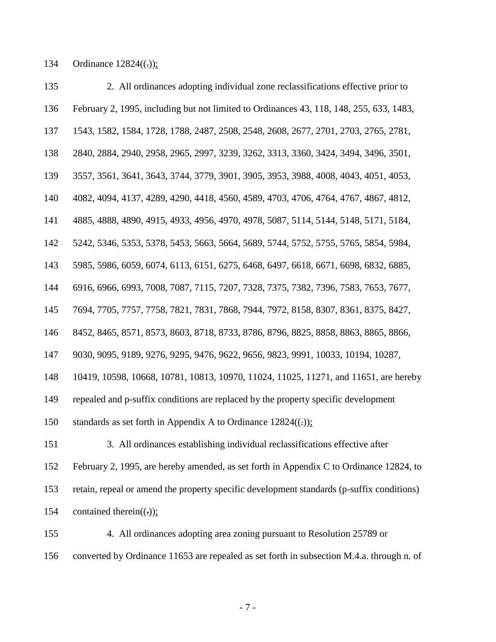134 Ordinance  $12824((.))$ ;

135 2. All ordinances adopting individual zone reclassifications effective prior to February 2, 1995, including but not limited to Ordinances 43, 118, 148, 255, 633, 1483, 1543, 1582, 1584, 1728, 1788, 2487, 2508, 2548, 2608, 2677, 2701, 2703, 2765, 2781, 2840, 2884, 2940, 2958, 2965, 2997, 3239, 3262, 3313, 3360, 3424, 3494, 3496, 3501, 3557, 3561, 3641, 3643, 3744, 3779, 3901, 3905, 3953, 3988, 4008, 4043, 4051, 4053, 4082, 4094, 4137, 4289, 4290, 4418, 4560, 4589, 4703, 4706, 4764, 4767, 4867, 4812, 4885, 4888, 4890, 4915, 4933, 4956, 4970, 4978, 5087, 5114, 5144, 5148, 5171, 5184, 5242, 5346, 5353, 5378, 5453, 5663, 5664, 5689, 5744, 5752, 5755, 5765, 5854, 5984, 5985, 5986, 6059, 6074, 6113, 6151, 6275, 6468, 6497, 6618, 6671, 6698, 6832, 6885, 6916, 6966, 6993, 7008, 7087, 7115, 7207, 7328, 7375, 7382, 7396, 7583, 7653, 7677, 7694, 7705, 7757, 7758, 7821, 7831, 7868, 7944, 7972, 8158, 8307, 8361, 8375, 8427, 8452, 8465, 8571, 8573, 8603, 8718, 8733, 8786, 8796, 8825, 8858, 8863, 8865, 8866, 9030, 9095, 9189, 9276, 9295, 9476, 9622, 9656, 9823, 9991, 10033, 10194, 10287, 10419, 10598, 10668, 10781, 10813, 10970, 11024, 11025, 11271, and 11651, are hereby repealed and p-suffix conditions are replaced by the property specific development 150 standards as set forth in Appendix A to Ordinance  $12824((.))$ ; 151 3. All ordinances establishing individual reclassifications effective after February 2, 1995, are hereby amended, as set forth in Appendix C to Ordinance 12824, to retain, repeal or amend the property specific development standards (p-suffix conditions) 154 contained therein( $(\cdot)$ );

155 4. All ordinances adopting area zoning pursuant to Resolution 25789 or converted by Ordinance 11653 are repealed as set forth in subsection M.4.a. through n. of

- 7 -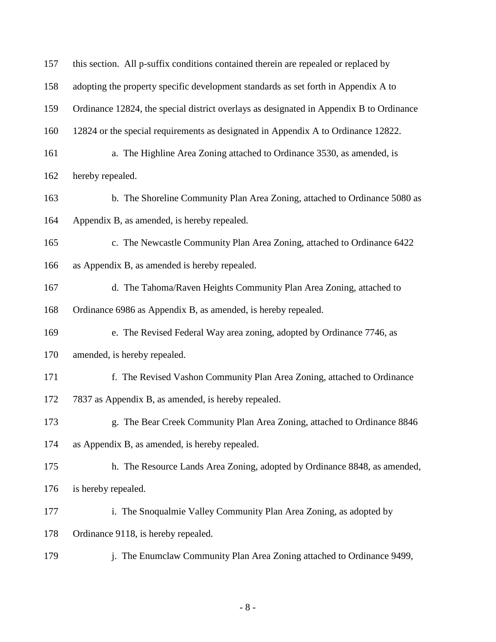| 157 | this section. All p-suffix conditions contained therein are repealed or replaced by     |  |  |  |  |
|-----|-----------------------------------------------------------------------------------------|--|--|--|--|
| 158 | adopting the property specific development standards as set forth in Appendix A to      |  |  |  |  |
| 159 | Ordinance 12824, the special district overlays as designated in Appendix B to Ordinance |  |  |  |  |
| 160 | 12824 or the special requirements as designated in Appendix A to Ordinance 12822.       |  |  |  |  |
| 161 | a. The Highline Area Zoning attached to Ordinance 3530, as amended, is                  |  |  |  |  |
| 162 | hereby repealed.                                                                        |  |  |  |  |
| 163 | b. The Shoreline Community Plan Area Zoning, attached to Ordinance 5080 as              |  |  |  |  |
| 164 | Appendix B, as amended, is hereby repealed.                                             |  |  |  |  |
| 165 | c. The Newcastle Community Plan Area Zoning, attached to Ordinance 6422                 |  |  |  |  |
| 166 | as Appendix B, as amended is hereby repealed.                                           |  |  |  |  |
| 167 | d. The Tahoma/Raven Heights Community Plan Area Zoning, attached to                     |  |  |  |  |
| 168 | Ordinance 6986 as Appendix B, as amended, is hereby repealed.                           |  |  |  |  |
| 169 | e. The Revised Federal Way area zoning, adopted by Ordinance 7746, as                   |  |  |  |  |
| 170 | amended, is hereby repealed.                                                            |  |  |  |  |
| 171 | f. The Revised Vashon Community Plan Area Zoning, attached to Ordinance                 |  |  |  |  |
| 172 | 7837 as Appendix B, as amended, is hereby repealed.                                     |  |  |  |  |
| 173 | g. The Bear Creek Community Plan Area Zoning, attached to Ordinance 8846                |  |  |  |  |
| 174 | as Appendix B, as amended, is hereby repealed.                                          |  |  |  |  |
| 175 | h. The Resource Lands Area Zoning, adopted by Ordinance 8848, as amended,               |  |  |  |  |
| 176 | is hereby repealed.                                                                     |  |  |  |  |
| 177 | i. The Snoqualmie Valley Community Plan Area Zoning, as adopted by                      |  |  |  |  |
| 178 | Ordinance 9118, is hereby repealed.                                                     |  |  |  |  |
| 179 | j. The Enumclaw Community Plan Area Zoning attached to Ordinance 9499,                  |  |  |  |  |

- 8 -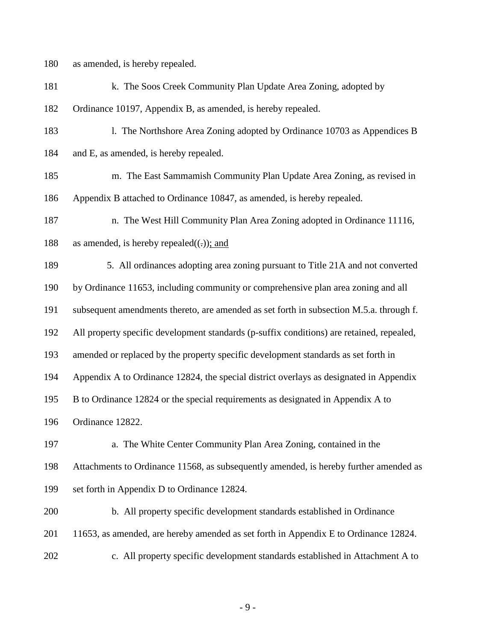180 as amended, is hereby repealed.

- 181 k. The Soos Creek Community Plan Update Area Zoning, adopted by
- 182 Ordinance 10197, Appendix B, as amended, is hereby repealed.
- 183 l. The Northshore Area Zoning adopted by Ordinance 10703 as Appendices B 184 and E, as amended, is hereby repealed.
- 185 m. The East Sammamish Community Plan Update Area Zoning, as revised in 186 Appendix B attached to Ordinance 10847, as amended, is hereby repealed.
- 187 n. The West Hill Community Plan Area Zoning adopted in Ordinance 11116,
- 188 as amended, is hereby repealed $((.)$ ; and
- 189 5. All ordinances adopting area zoning pursuant to Title 21A and not converted 190 by Ordinance 11653, including community or comprehensive plan area zoning and all 191 subsequent amendments thereto, are amended as set forth in subsection M.5.a. through f. 192 All property specific development standards (p-suffix conditions) are retained, repealed, 193 amended or replaced by the property specific development standards as set forth in 194 Appendix A to Ordinance 12824, the special district overlays as designated in Appendix 195 B to Ordinance 12824 or the special requirements as designated in Appendix A to 196 Ordinance 12822.
- 197 a. The White Center Community Plan Area Zoning, contained in the 198 Attachments to Ordinance 11568, as subsequently amended, is hereby further amended as 199 set forth in Appendix D to Ordinance 12824.
- 200 b. All property specific development standards established in Ordinance 201 11653, as amended, are hereby amended as set forth in Appendix E to Ordinance 12824. 202 c. All property specific development standards established in Attachment A to

- 9 -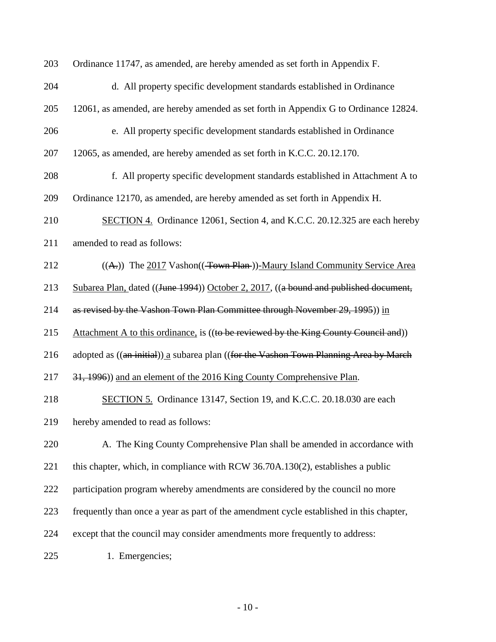| 203 | Ordinance 11747, as amended, are hereby amended as set forth in Appendix F.             |
|-----|-----------------------------------------------------------------------------------------|
| 204 | d. All property specific development standards established in Ordinance                 |
| 205 | 12061, as amended, are hereby amended as set forth in Appendix G to Ordinance 12824.    |
| 206 | e. All property specific development standards established in Ordinance                 |
| 207 | 12065, as amended, are hereby amended as set forth in K.C.C. 20.12.170.                 |
| 208 | f. All property specific development standards established in Attachment A to           |
| 209 | Ordinance 12170, as amended, are hereby amended as set forth in Appendix H.             |
| 210 | SECTION 4. Ordinance 12061, Section 4, and K.C.C. 20.12.325 are each hereby             |
| 211 | amended to read as follows:                                                             |
| 212 | ((A.)) The 2017 Vashon((Town Plan))-Maury Island Community Service Area                 |
| 213 | Subarea Plan, dated ((June 1994)) October 2, 2017, ((a bound and published document,    |
| 214 | as revised by the Vashon Town Plan Committee through November 29, 1995)) in             |
| 215 | Attachment A to this ordinance, is ((to be reviewed by the King County Council and))    |
| 216 | adopted as ((an initial)) a subarea plan ((for the Vashon Town Planning Area by March   |
| 217 | 31, 1996) and an element of the 2016 King County Comprehensive Plan.                    |
| 218 | SECTION 5. Ordinance 13147, Section 19, and K.C.C. 20.18.030 are each                   |
| 219 | hereby amended to read as follows:                                                      |
| 220 | A. The King County Comprehensive Plan shall be amended in accordance with               |
| 221 | this chapter, which, in compliance with RCW 36.70A.130(2), establishes a public         |
| 222 | participation program whereby amendments are considered by the council no more          |
| 223 | frequently than once a year as part of the amendment cycle established in this chapter, |
| 224 | except that the council may consider amendments more frequently to address:             |
| 225 | 1. Emergencies;                                                                         |

- 10 -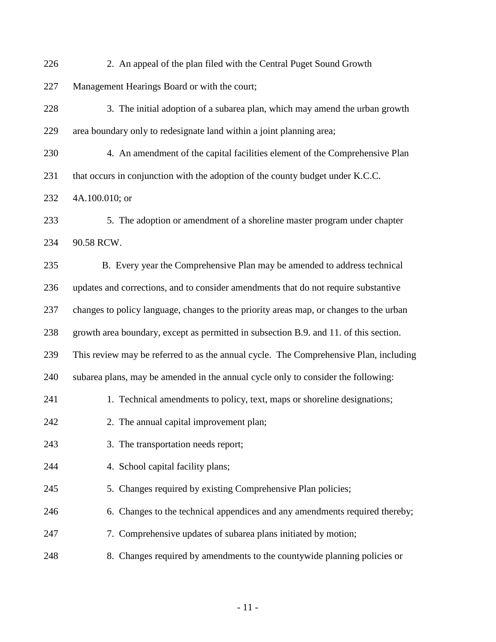- 226 2. An appeal of the plan filed with the Central Puget Sound Growth
- 227 Management Hearings Board or with the court;
- 228 3. The initial adoption of a subarea plan, which may amend the urban growth 229 area boundary only to redesignate land within a joint planning area;
- 230 4. An amendment of the capital facilities element of the Comprehensive Plan
- 231 that occurs in conjunction with the adoption of the county budget under K.C.C.
- 232 4A.100.010; or
- 233 5. The adoption or amendment of a shoreline master program under chapter 234 90.58 RCW.
- 235 B. Every year the Comprehensive Plan may be amended to address technical 236 updates and corrections, and to consider amendments that do not require substantive 237 changes to policy language, changes to the priority areas map, or changes to the urban 238 growth area boundary, except as permitted in subsection B.9. and 11. of this section. 239 This review may be referred to as the annual cycle. The Comprehensive Plan, including 240 subarea plans, may be amended in the annual cycle only to consider the following: 241 1. Technical amendments to policy, text, maps or shoreline designations; 242 2. The annual capital improvement plan; 243 3. The transportation needs report; 244 4. School capital facility plans; 245 5. Changes required by existing Comprehensive Plan policies; 246 6. Changes to the technical appendices and any amendments required thereby; 247 7. Comprehensive updates of subarea plans initiated by motion; 248 8. Changes required by amendments to the countywide planning policies or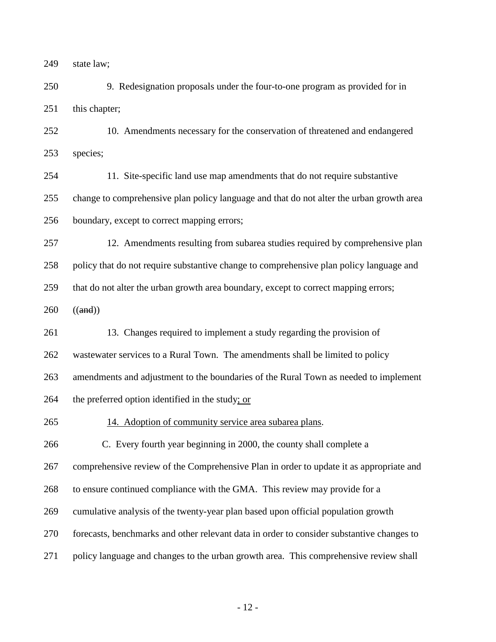state law;

250 9. Redesignation proposals under the four-to-one program as provided for in 251 this chapter;

252 10. Amendments necessary for the conservation of threatened and endangered species;

254 11. Site-specific land use map amendments that do not require substantive change to comprehensive plan policy language and that do not alter the urban growth area boundary, except to correct mapping errors;

257 12. Amendments resulting from subarea studies required by comprehensive plan policy that do not require substantive change to comprehensive plan policy language and

that do not alter the urban growth area boundary, except to correct mapping errors;

((and))

261 13. Changes required to implement a study regarding the provision of

wastewater services to a Rural Town. The amendments shall be limited to policy

amendments and adjustment to the boundaries of the Rural Town as needed to implement

the preferred option identified in the study; or

265 14. Adoption of community service area subarea plans.

C. Every fourth year beginning in 2000, the county shall complete a

comprehensive review of the Comprehensive Plan in order to update it as appropriate and

to ensure continued compliance with the GMA. This review may provide for a

cumulative analysis of the twenty-year plan based upon official population growth

forecasts, benchmarks and other relevant data in order to consider substantive changes to

policy language and changes to the urban growth area. This comprehensive review shall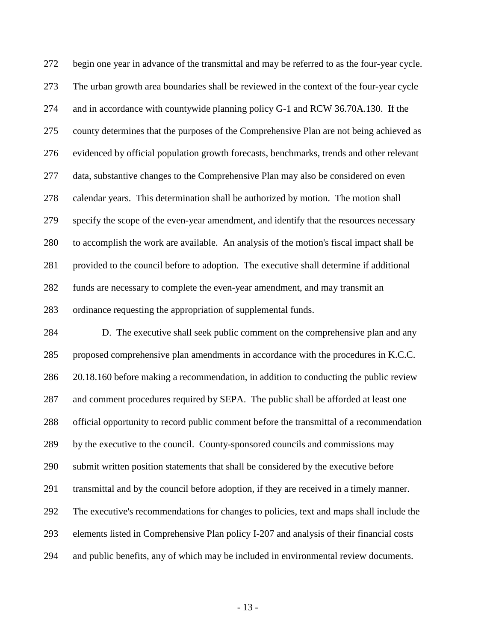begin one year in advance of the transmittal and may be referred to as the four-year cycle. The urban growth area boundaries shall be reviewed in the context of the four-year cycle and in accordance with countywide planning policy G-1 and RCW 36.70A.130. If the county determines that the purposes of the Comprehensive Plan are not being achieved as evidenced by official population growth forecasts, benchmarks, trends and other relevant data, substantive changes to the Comprehensive Plan may also be considered on even calendar years. This determination shall be authorized by motion. The motion shall specify the scope of the even-year amendment, and identify that the resources necessary to accomplish the work are available. An analysis of the motion's fiscal impact shall be provided to the council before to adoption. The executive shall determine if additional funds are necessary to complete the even-year amendment, and may transmit an ordinance requesting the appropriation of supplemental funds.

 D. The executive shall seek public comment on the comprehensive plan and any proposed comprehensive plan amendments in accordance with the procedures in K.C.C. 20.18.160 before making a recommendation, in addition to conducting the public review and comment procedures required by SEPA. The public shall be afforded at least one official opportunity to record public comment before the transmittal of a recommendation by the executive to the council. County-sponsored councils and commissions may submit written position statements that shall be considered by the executive before transmittal and by the council before adoption, if they are received in a timely manner. The executive's recommendations for changes to policies, text and maps shall include the elements listed in Comprehensive Plan policy I-207 and analysis of their financial costs and public benefits, any of which may be included in environmental review documents.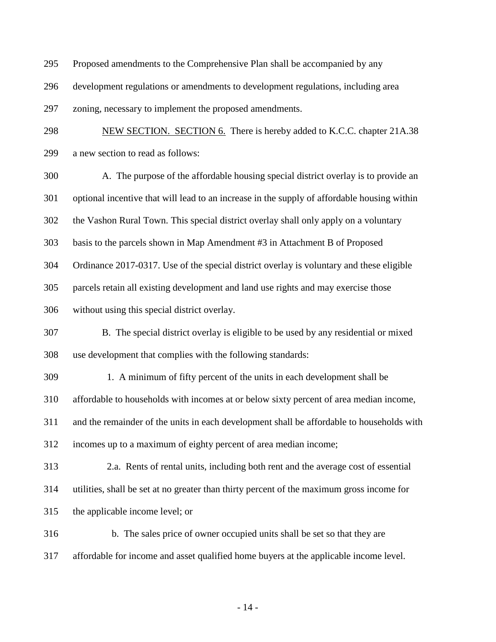- Proposed amendments to the Comprehensive Plan shall be accompanied by any
- development regulations or amendments to development regulations, including area
- zoning, necessary to implement the proposed amendments.
- 298 NEW SECTION. SECTION 6. There is hereby added to K.C.C. chapter 21A.38 a new section to read as follows:
- A. The purpose of the affordable housing special district overlay is to provide an optional incentive that will lead to an increase in the supply of affordable housing within the Vashon Rural Town. This special district overlay shall only apply on a voluntary
- basis to the parcels shown in Map Amendment #3 in Attachment B of Proposed

Ordinance 2017-0317. Use of the special district overlay is voluntary and these eligible

parcels retain all existing development and land use rights and may exercise those

- without using this special district overlay.
- B. The special district overlay is eligible to be used by any residential or mixed use development that complies with the following standards:
- 309 1. A minimum of fifty percent of the units in each development shall be

affordable to households with incomes at or below sixty percent of area median income,

and the remainder of the units in each development shall be affordable to households with

incomes up to a maximum of eighty percent of area median income;

- 313 2.a. Rents of rental units, including both rent and the average cost of essential utilities, shall be set at no greater than thirty percent of the maximum gross income for the applicable income level; or
- 316 b. The sales price of owner occupied units shall be set so that they are
- affordable for income and asset qualified home buyers at the applicable income level.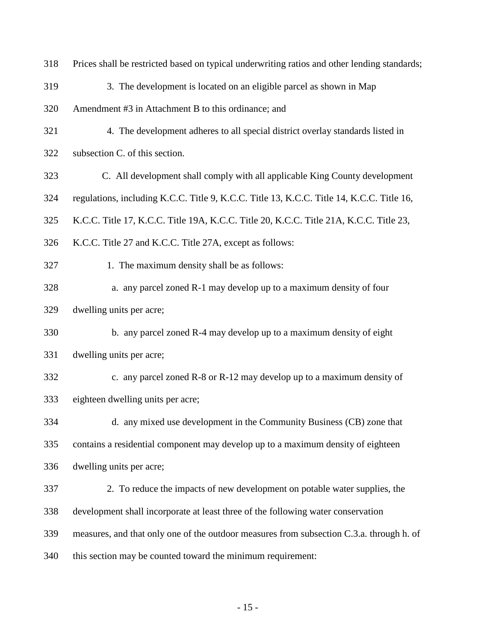| 318 | Prices shall be restricted based on typical underwriting ratios and other lending standards; |  |  |  |
|-----|----------------------------------------------------------------------------------------------|--|--|--|
| 319 | 3. The development is located on an eligible parcel as shown in Map                          |  |  |  |
| 320 | Amendment #3 in Attachment B to this ordinance; and                                          |  |  |  |
| 321 | 4. The development adheres to all special district overlay standards listed in               |  |  |  |
| 322 | subsection C. of this section.                                                               |  |  |  |
| 323 | C. All development shall comply with all applicable King County development                  |  |  |  |
| 324 | regulations, including K.C.C. Title 9, K.C.C. Title 13, K.C.C. Title 14, K.C.C. Title 16,    |  |  |  |
| 325 | K.C.C. Title 17, K.C.C. Title 19A, K.C.C. Title 20, K.C.C. Title 21A, K.C.C. Title 23,       |  |  |  |
| 326 | K.C.C. Title 27 and K.C.C. Title 27A, except as follows:                                     |  |  |  |
| 327 | 1. The maximum density shall be as follows:                                                  |  |  |  |
| 328 | a. any parcel zoned R-1 may develop up to a maximum density of four                          |  |  |  |
| 329 | dwelling units per acre;                                                                     |  |  |  |
| 330 | b. any parcel zoned R-4 may develop up to a maximum density of eight                         |  |  |  |
| 331 | dwelling units per acre;                                                                     |  |  |  |
| 332 | c. any parcel zoned R-8 or R-12 may develop up to a maximum density of                       |  |  |  |
| 333 | eighteen dwelling units per acre;                                                            |  |  |  |
| 334 | d. any mixed use development in the Community Business (CB) zone that                        |  |  |  |
| 335 | contains a residential component may develop up to a maximum density of eighteen             |  |  |  |
| 336 | dwelling units per acre;                                                                     |  |  |  |
| 337 | 2. To reduce the impacts of new development on potable water supplies, the                   |  |  |  |
| 338 | development shall incorporate at least three of the following water conservation             |  |  |  |
| 339 | measures, and that only one of the outdoor measures from subsection C.3.a. through h. of     |  |  |  |
| 340 | this section may be counted toward the minimum requirement:                                  |  |  |  |

- 15 -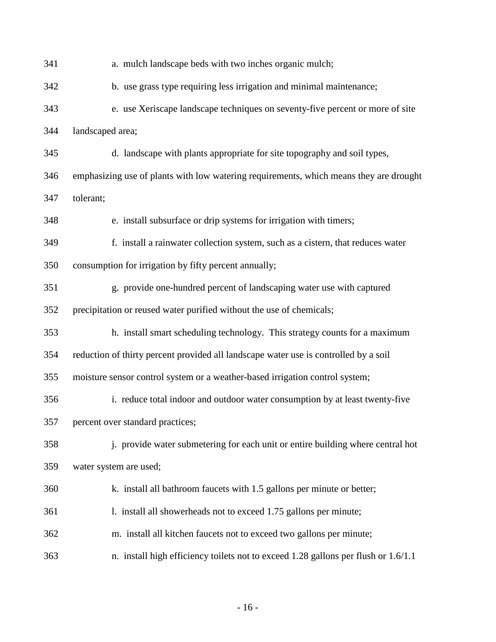341 a. mulch landscape beds with two inches organic mulch; 342 b. use grass type requiring less irrigation and minimal maintenance; 343 e. use Xeriscape landscape techniques on seventy-five percent or more of site 344 landscaped area; 345 d. landscape with plants appropriate for site topography and soil types, 346 emphasizing use of plants with low watering requirements, which means they are drought 347 tolerant; 348 e. install subsurface or drip systems for irrigation with timers; 349 f. install a rainwater collection system, such as a cistern, that reduces water 350 consumption for irrigation by fifty percent annually; 351 g. provide one-hundred percent of landscaping water use with captured 352 precipitation or reused water purified without the use of chemicals; 353 h. install smart scheduling technology. This strategy counts for a maximum 354 reduction of thirty percent provided all landscape water use is controlled by a soil 355 moisture sensor control system or a weather-based irrigation control system; 356 i. reduce total indoor and outdoor water consumption by at least twenty-five 357 percent over standard practices; 358 j. provide water submetering for each unit or entire building where central hot 359 water system are used; 360 k. install all bathroom faucets with 1.5 gallons per minute or better; 361 l. install all showerheads not to exceed 1.75 gallons per minute; 362 m. install all kitchen faucets not to exceed two gallons per minute; 363 n. install high efficiency toilets not to exceed 1.28 gallons per flush or 1.6/1.1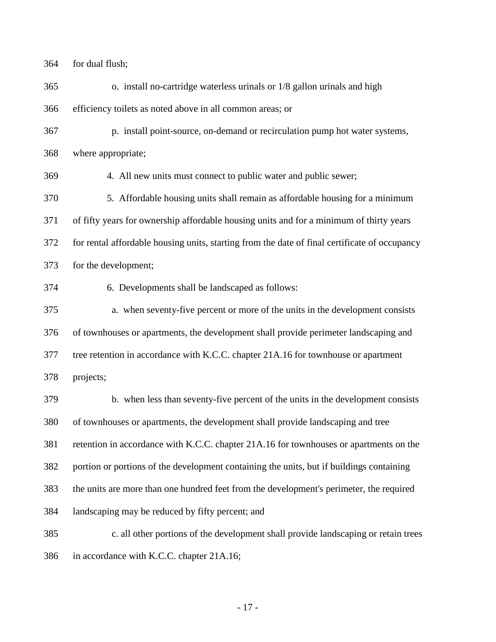for dual flush;

365 o. install no-cartridge waterless urinals or 1/8 gallon urinals and high efficiency toilets as noted above in all common areas; or 367 p. install point-source, on-demand or recirculation pump hot water systems, where appropriate; 369 4. All new units must connect to public water and public sewer; 370 5. Affordable housing units shall remain as affordable housing for a minimum of fifty years for ownership affordable housing units and for a minimum of thirty years for rental affordable housing units, starting from the date of final certificate of occupancy for the development; 374 6. Developments shall be landscaped as follows: 375 a. when seventy-five percent or more of the units in the development consists of townhouses or apartments, the development shall provide perimeter landscaping and tree retention in accordance with K.C.C. chapter 21A.16 for townhouse or apartment projects; 379 b. when less than seventy-five percent of the units in the development consists of townhouses or apartments, the development shall provide landscaping and tree retention in accordance with K.C.C. chapter 21A.16 for townhouses or apartments on the portion or portions of the development containing the units, but if buildings containing the units are more than one hundred feet from the development's perimeter, the required landscaping may be reduced by fifty percent; and 385 c. all other portions of the development shall provide landscaping or retain trees in accordance with K.C.C. chapter 21A.16;

- 17 -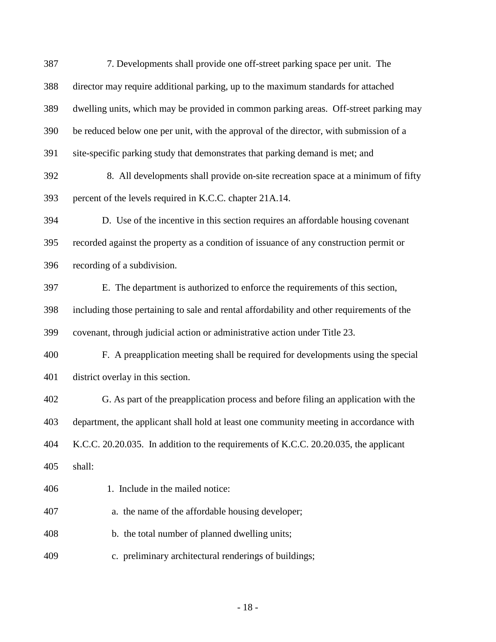| 387 | 7. Developments shall provide one off-street parking space per unit. The                  |  |  |  |  |
|-----|-------------------------------------------------------------------------------------------|--|--|--|--|
| 388 | director may require additional parking, up to the maximum standards for attached         |  |  |  |  |
| 389 | dwelling units, which may be provided in common parking areas. Off-street parking may     |  |  |  |  |
| 390 | be reduced below one per unit, with the approval of the director, with submission of a    |  |  |  |  |
| 391 | site-specific parking study that demonstrates that parking demand is met; and             |  |  |  |  |
| 392 | 8. All developments shall provide on-site recreation space at a minimum of fifty          |  |  |  |  |
| 393 | percent of the levels required in K.C.C. chapter 21A.14.                                  |  |  |  |  |
| 394 | D. Use of the incentive in this section requires an affordable housing covenant           |  |  |  |  |
| 395 | recorded against the property as a condition of issuance of any construction permit or    |  |  |  |  |
| 396 | recording of a subdivision.                                                               |  |  |  |  |
| 397 | E. The department is authorized to enforce the requirements of this section,              |  |  |  |  |
| 398 | including those pertaining to sale and rental affordability and other requirements of the |  |  |  |  |
| 399 | covenant, through judicial action or administrative action under Title 23.                |  |  |  |  |
| 400 | F. A preapplication meeting shall be required for developments using the special          |  |  |  |  |
| 401 | district overlay in this section.                                                         |  |  |  |  |
| 402 | G. As part of the preapplication process and before filing an application with the        |  |  |  |  |
| 403 | department, the applicant shall hold at least one community meeting in accordance with    |  |  |  |  |
| 404 | K.C.C. 20.20.035. In addition to the requirements of K.C.C. 20.20.035, the applicant      |  |  |  |  |
| 405 | shall:                                                                                    |  |  |  |  |
| 406 | 1. Include in the mailed notice:                                                          |  |  |  |  |
| 407 | a. the name of the affordable housing developer;                                          |  |  |  |  |
| 408 | b. the total number of planned dwelling units;                                            |  |  |  |  |
| 409 | c. preliminary architectural renderings of buildings;                                     |  |  |  |  |
|     |                                                                                           |  |  |  |  |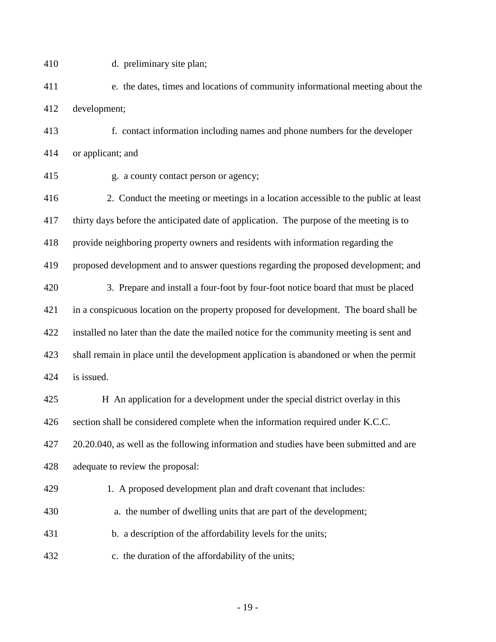410 d. preliminary site plan;

411 e. the dates, times and locations of community informational meeting about the 412 development;

413 f. contact information including names and phone numbers for the developer 414 or applicant; and

415 g. a county contact person or agency;

416 2. Conduct the meeting or meetings in a location accessible to the public at least thirty days before the anticipated date of application. The purpose of the meeting is to provide neighboring property owners and residents with information regarding the proposed development and to answer questions regarding the proposed development; and 420 3. Prepare and install a four-foot by four-foot notice board that must be placed in a conspicuous location on the property proposed for development. The board shall be installed no later than the date the mailed notice for the community meeting is sent and shall remain in place until the development application is abandoned or when the permit is issued.

 H An application for a development under the special district overlay in this section shall be considered complete when the information required under K.C.C. 20.20.040, as well as the following information and studies have been submitted and are adequate to review the proposal:

429 1. A proposed development plan and draft covenant that includes:

- 430 a. the number of dwelling units that are part of the development;
- 431 b. a description of the affordability levels for the units;
- 432 c. the duration of the affordability of the units;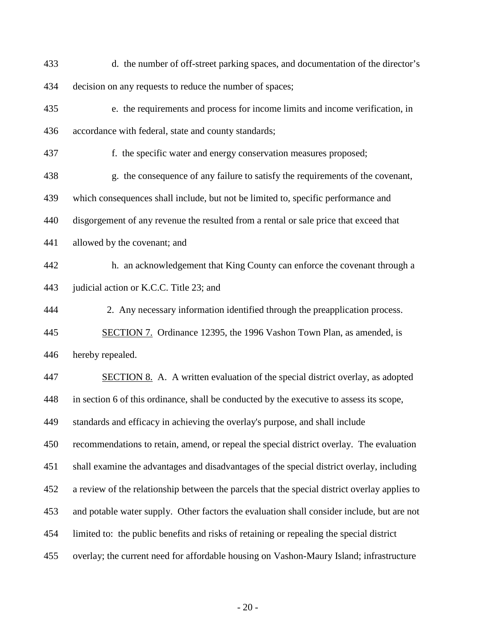| 433 | d. the number of off-street parking spaces, and documentation of the director's               |
|-----|-----------------------------------------------------------------------------------------------|
| 434 | decision on any requests to reduce the number of spaces;                                      |
| 435 | e. the requirements and process for income limits and income verification, in                 |
| 436 | accordance with federal, state and county standards;                                          |
| 437 | f. the specific water and energy conservation measures proposed;                              |
| 438 | g. the consequence of any failure to satisfy the requirements of the covenant,                |
| 439 | which consequences shall include, but not be limited to, specific performance and             |
| 440 | disgorgement of any revenue the resulted from a rental or sale price that exceed that         |
| 441 | allowed by the covenant; and                                                                  |
| 442 | h. an acknowledgement that King County can enforce the covenant through a                     |
| 443 | judicial action or K.C.C. Title 23; and                                                       |
| 444 | 2. Any necessary information identified through the preapplication process.                   |
| 445 | <b>SECTION 7.</b> Ordinance 12395, the 1996 Vashon Town Plan, as amended, is                  |
| 446 | hereby repealed.                                                                              |
| 447 | SECTION 8. A. A written evaluation of the special district overlay, as adopted                |
| 448 | in section 6 of this ordinance, shall be conducted by the executive to assess its scope,      |
| 449 | standards and efficacy in achieving the overlay's purpose, and shall include                  |
| 450 | recommendations to retain, amend, or repeal the special district overlay. The evaluation      |
| 451 | shall examine the advantages and disadvantages of the special district overlay, including     |
| 452 | a review of the relationship between the parcels that the special district overlay applies to |
| 453 | and potable water supply. Other factors the evaluation shall consider include, but are not    |
| 454 | limited to: the public benefits and risks of retaining or repealing the special district      |
| 455 | overlay; the current need for affordable housing on Vashon-Maury Island; infrastructure       |

- 20 -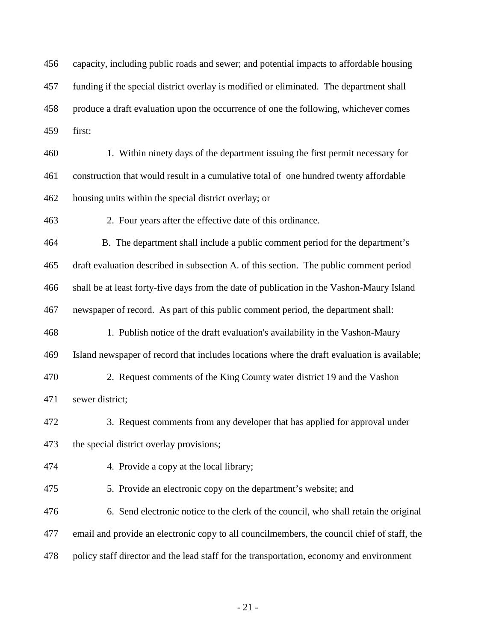capacity, including public roads and sewer; and potential impacts to affordable housing funding if the special district overlay is modified or eliminated. The department shall produce a draft evaluation upon the occurrence of one the following, whichever comes first:

460 1. Within ninety days of the department issuing the first permit necessary for construction that would result in a cumulative total of one hundred twenty affordable housing units within the special district overlay; or

463 2. Four years after the effective date of this ordinance.

 B. The department shall include a public comment period for the department's draft evaluation described in subsection A. of this section. The public comment period shall be at least forty-five days from the date of publication in the Vashon-Maury Island newspaper of record. As part of this public comment period, the department shall:

 1. Publish notice of the draft evaluation's availability in the Vashon-Maury Island newspaper of record that includes locations where the draft evaluation is available;

470 2. Request comments of the King County water district 19 and the Vashon sewer district;

472 3. Request comments from any developer that has applied for approval under the special district overlay provisions;

474 4. Provide a copy at the local library;

475 5. Provide an electronic copy on the department's website; and

476 6. Send electronic notice to the clerk of the council, who shall retain the original email and provide an electronic copy to all councilmembers, the council chief of staff, the policy staff director and the lead staff for the transportation, economy and environment

- 21 -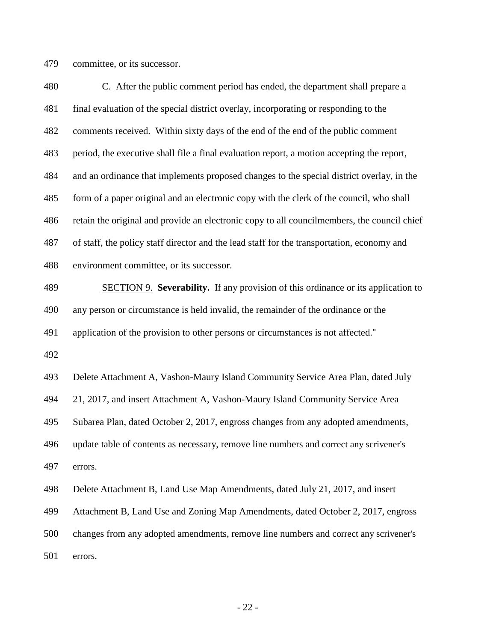committee, or its successor.

 C. After the public comment period has ended, the department shall prepare a final evaluation of the special district overlay, incorporating or responding to the comments received. Within sixty days of the end of the end of the public comment period, the executive shall file a final evaluation report, a motion accepting the report, and an ordinance that implements proposed changes to the special district overlay, in the form of a paper original and an electronic copy with the clerk of the council, who shall retain the original and provide an electronic copy to all councilmembers, the council chief of staff, the policy staff director and the lead staff for the transportation, economy and environment committee, or its successor. SECTION 9. **Severability.** If any provision of this ordinance or its application to

 any person or circumstance is held invalid, the remainder of the ordinance or the application of the provision to other persons or circumstances is not affected."

 Delete Attachment A, Vashon-Maury Island Community Service Area Plan, dated July 21, 2017, and insert Attachment A, Vashon-Maury Island Community Service Area Subarea Plan, dated October 2, 2017, engross changes from any adopted amendments, update table of contents as necessary, remove line numbers and correct any scrivener's errors.

Delete Attachment B, Land Use Map Amendments, dated July 21, 2017, and insert

Attachment B, Land Use and Zoning Map Amendments, dated October 2, 2017, engross

 changes from any adopted amendments, remove line numbers and correct any scrivener's errors.

- 22 -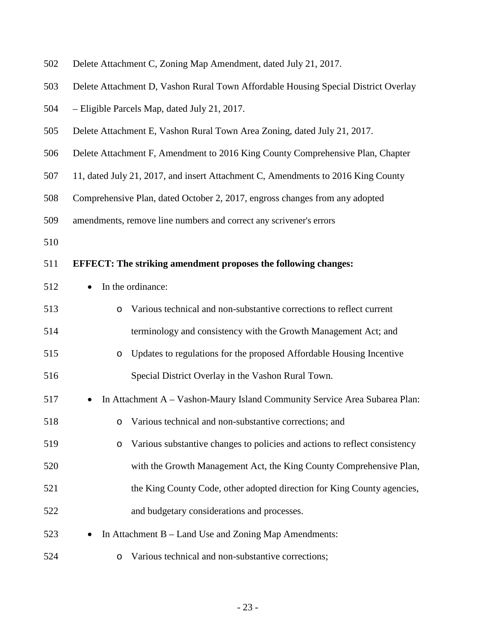| 502 | Delete Attachment C, Zoning Map Amendment, dated July 21, 2017.                       |  |  |  |
|-----|---------------------------------------------------------------------------------------|--|--|--|
| 503 | Delete Attachment D, Vashon Rural Town Affordable Housing Special District Overlay    |  |  |  |
| 504 | - Eligible Parcels Map, dated July 21, 2017.                                          |  |  |  |
| 505 | Delete Attachment E, Vashon Rural Town Area Zoning, dated July 21, 2017.              |  |  |  |
| 506 | Delete Attachment F, Amendment to 2016 King County Comprehensive Plan, Chapter        |  |  |  |
| 507 | 11, dated July 21, 2017, and insert Attachment C, Amendments to 2016 King County      |  |  |  |
| 508 | Comprehensive Plan, dated October 2, 2017, engross changes from any adopted           |  |  |  |
| 509 | amendments, remove line numbers and correct any scrivener's errors                    |  |  |  |
| 510 |                                                                                       |  |  |  |
| 511 | <b>EFFECT:</b> The striking amendment proposes the following changes:                 |  |  |  |
| 512 | In the ordinance:<br>$\bullet$                                                        |  |  |  |
| 513 | Various technical and non-substantive corrections to reflect current<br>$\circ$       |  |  |  |
| 514 | terminology and consistency with the Growth Management Act; and                       |  |  |  |
| 515 | Updates to regulations for the proposed Affordable Housing Incentive<br>$\circ$       |  |  |  |
| 516 | Special District Overlay in the Vashon Rural Town.                                    |  |  |  |
| 517 | In Attachment A – Vashon-Maury Island Community Service Area Subarea Plan:            |  |  |  |
| 518 | o Various technical and non-substantive corrections; and                              |  |  |  |
| 519 | Various substantive changes to policies and actions to reflect consistency<br>$\circ$ |  |  |  |
| 520 | with the Growth Management Act, the King County Comprehensive Plan,                   |  |  |  |
| 521 | the King County Code, other adopted direction for King County agencies,               |  |  |  |
| 522 | and budgetary considerations and processes.                                           |  |  |  |
| 523 | In Attachment B – Land Use and Zoning Map Amendments:                                 |  |  |  |
| 524 | Various technical and non-substantive corrections;<br>$\circ$                         |  |  |  |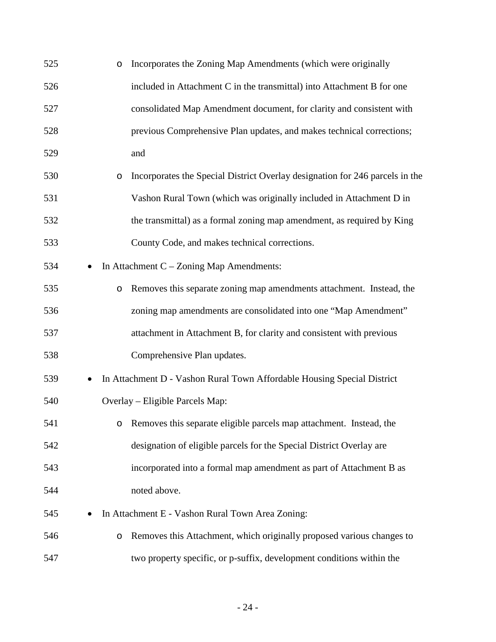| 525 |           | $\circ$ | Incorporates the Zoning Map Amendments (which were originally                |
|-----|-----------|---------|------------------------------------------------------------------------------|
| 526 |           |         | included in Attachment C in the transmittal) into Attachment B for one       |
| 527 |           |         | consolidated Map Amendment document, for clarity and consistent with         |
| 528 |           |         | previous Comprehensive Plan updates, and makes technical corrections;        |
| 529 |           |         | and                                                                          |
| 530 |           | $\circ$ | Incorporates the Special District Overlay designation for 246 parcels in the |
| 531 |           |         | Vashon Rural Town (which was originally included in Attachment D in          |
| 532 |           |         | the transmittal) as a formal zoning map amendment, as required by King       |
| 533 |           |         | County Code, and makes technical corrections.                                |
| 534 |           |         | In Attachment $C - Z$ oning Map Amendments:                                  |
| 535 |           | $\circ$ | Removes this separate zoning map amendments attachment. Instead, the         |
| 536 |           |         | zoning map amendments are consolidated into one "Map Amendment"              |
| 537 |           |         | attachment in Attachment B, for clarity and consistent with previous         |
| 538 |           |         | Comprehensive Plan updates.                                                  |
| 539 | $\bullet$ |         | In Attachment D - Vashon Rural Town Affordable Housing Special District      |
| 540 |           |         | Overlay – Eligible Parcels Map:                                              |
| 541 |           | O       | Removes this separate eligible parcels map attachment. Instead, the          |
| 542 |           |         | designation of eligible parcels for the Special District Overlay are         |
| 543 |           |         | incorporated into a formal map amendment as part of Attachment B as          |
| 544 |           |         | noted above.                                                                 |
| 545 |           |         | In Attachment E - Vashon Rural Town Area Zoning:                             |
| 546 |           | O       | Removes this Attachment, which originally proposed various changes to        |
| 547 |           |         | two property specific, or p-suffix, development conditions within the        |

- 24 -